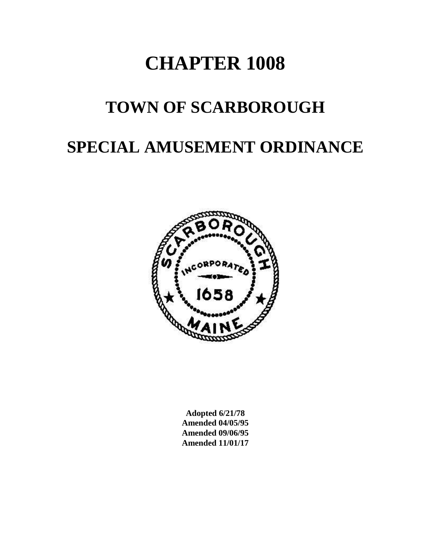# **CHAPTER 1008**

# **TOWN OF SCARBOROUGH**

# **SPECIAL AMUSEMENT ORDINANCE**



**Adopted 6/21/78 Amended 04/05/95 Amended 09/06/95 Amended 11/01/17**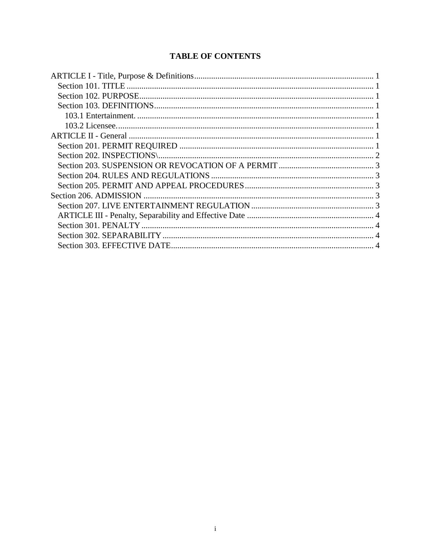### **TABLE OF CONTENTS**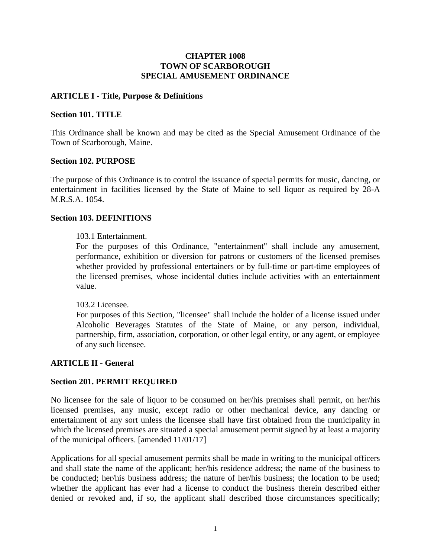#### **CHAPTER 1008 TOWN OF SCARBOROUGH SPECIAL AMUSEMENT ORDINANCE**

#### <span id="page-2-0"></span>**ARTICLE I - Title, Purpose & Definitions**

#### <span id="page-2-1"></span>**Section 101. TITLE**

This Ordinance shall be known and may be cited as the Special Amusement Ordinance of the Town of Scarborough, Maine.

#### <span id="page-2-2"></span>**Section 102. PURPOSE**

The purpose of this Ordinance is to control the issuance of special permits for music, dancing, or entertainment in facilities licensed by the State of Maine to sell liquor as required by 28-A M.R.S.A. 1054.

#### <span id="page-2-4"></span><span id="page-2-3"></span>**Section 103. DEFINITIONS**

#### 103.1 Entertainment.

For the purposes of this Ordinance, "entertainment" shall include any amusement, performance, exhibition or diversion for patrons or customers of the licensed premises whether provided by professional entertainers or by full-time or part-time employees of the licensed premises, whose incidental duties include activities with an entertainment value.

<span id="page-2-5"></span>103.2 Licensee.

For purposes of this Section, "licensee" shall include the holder of a license issued under Alcoholic Beverages Statutes of the State of Maine, or any person, individual, partnership, firm, association, corporation, or other legal entity, or any agent, or employee of any such licensee.

#### <span id="page-2-6"></span>**ARTICLE II - General**

#### <span id="page-2-7"></span>**Section 201. PERMIT REQUIRED**

No licensee for the sale of liquor to be consumed on her/his premises shall permit, on her/his licensed premises, any music, except radio or other mechanical device, any dancing or entertainment of any sort unless the licensee shall have first obtained from the municipality in which the licensed premises are situated a special amusement permit signed by at least a majority of the municipal officers. [amended 11/01/17]

Applications for all special amusement permits shall be made in writing to the municipal officers and shall state the name of the applicant; her/his residence address; the name of the business to be conducted; her/his business address; the nature of her/his business; the location to be used; whether the applicant has ever had a license to conduct the business therein described either denied or revoked and, if so, the applicant shall described those circumstances specifically;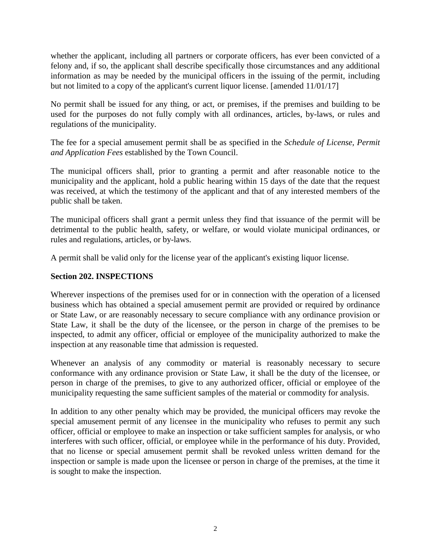whether the applicant, including all partners or corporate officers, has ever been convicted of a felony and, if so, the applicant shall describe specifically those circumstances and any additional information as may be needed by the municipal officers in the issuing of the permit, including but not limited to a copy of the applicant's current liquor license. [amended 11/01/17]

No permit shall be issued for any thing, or act, or premises, if the premises and building to be used for the purposes do not fully comply with all ordinances, articles, by-laws, or rules and regulations of the municipality.

The fee for a special amusement permit shall be as specified in the *Schedule of License, Permit and Application Fees* established by the Town Council.

The municipal officers shall, prior to granting a permit and after reasonable notice to the municipality and the applicant, hold a public hearing within 15 days of the date that the request was received, at which the testimony of the applicant and that of any interested members of the public shall be taken.

The municipal officers shall grant a permit unless they find that issuance of the permit will be detrimental to the public health, safety, or welfare, or would violate municipal ordinances, or rules and regulations, articles, or by-laws.

A permit shall be valid only for the license year of the applicant's existing liquor license.

#### <span id="page-3-0"></span>**Section 202. INSPECTIONS**

Wherever inspections of the premises used for or in connection with the operation of a licensed business which has obtained a special amusement permit are provided or required by ordinance or State Law, or are reasonably necessary to secure compliance with any ordinance provision or State Law, it shall be the duty of the licensee, or the person in charge of the premises to be inspected, to admit any officer, official or employee of the municipality authorized to make the inspection at any reasonable time that admission is requested.

Whenever an analysis of any commodity or material is reasonably necessary to secure conformance with any ordinance provision or State Law, it shall be the duty of the licensee, or person in charge of the premises, to give to any authorized officer, official or employee of the municipality requesting the same sufficient samples of the material or commodity for analysis.

In addition to any other penalty which may be provided, the municipal officers may revoke the special amusement permit of any licensee in the municipality who refuses to permit any such officer, official or employee to make an inspection or take sufficient samples for analysis, or who interferes with such officer, official, or employee while in the performance of his duty. Provided, that no license or special amusement permit shall be revoked unless written demand for the inspection or sample is made upon the licensee or person in charge of the premises, at the time it is sought to make the inspection.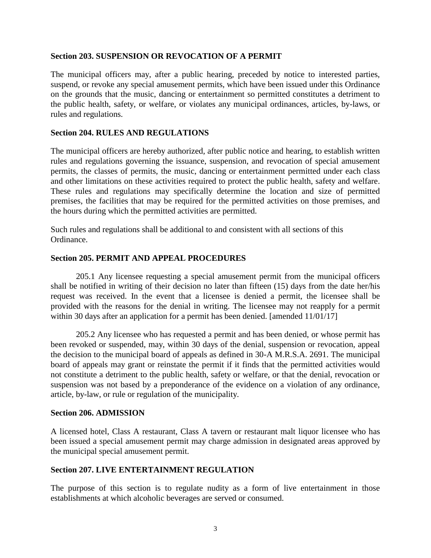#### <span id="page-4-0"></span>**Section 203. SUSPENSION OR REVOCATION OF A PERMIT**

The municipal officers may, after a public hearing, preceded by notice to interested parties, suspend, or revoke any special amusement permits, which have been issued under this Ordinance on the grounds that the music, dancing or entertainment so permitted constitutes a detriment to the public health, safety, or welfare, or violates any municipal ordinances, articles, by-laws, or rules and regulations.

#### <span id="page-4-1"></span>**Section 204. RULES AND REGULATIONS**

The municipal officers are hereby authorized, after public notice and hearing, to establish written rules and regulations governing the issuance, suspension, and revocation of special amusement permits, the classes of permits, the music, dancing or entertainment permitted under each class and other limitations on these activities required to protect the public health, safety and welfare. These rules and regulations may specifically determine the location and size of permitted premises, the facilities that may be required for the permitted activities on those premises, and the hours during which the permitted activities are permitted.

Such rules and regulations shall be additional to and consistent with all sections of this Ordinance.

#### <span id="page-4-2"></span>**Section 205. PERMIT AND APPEAL PROCEDURES**

205.1 Any licensee requesting a special amusement permit from the municipal officers shall be notified in writing of their decision no later than fifteen (15) days from the date her/his request was received. In the event that a licensee is denied a permit, the licensee shall be provided with the reasons for the denial in writing. The licensee may not reapply for a permit within 30 days after an application for a permit has been denied. [amended 11/01/17]

205.2 Any licensee who has requested a permit and has been denied, or whose permit has been revoked or suspended, may, within 30 days of the denial, suspension or revocation, appeal the decision to the municipal board of appeals as defined in 30-A M.R.S.A. 2691. The municipal board of appeals may grant or reinstate the permit if it finds that the permitted activities would not constitute a detriment to the public health, safety or welfare, or that the denial, revocation or suspension was not based by a preponderance of the evidence on a violation of any ordinance, article, by-law, or rule or regulation of the municipality.

#### <span id="page-4-3"></span>**Section 206. ADMISSION**

A licensed hotel, Class A restaurant, Class A tavern or restaurant malt liquor licensee who has been issued a special amusement permit may charge admission in designated areas approved by the municipal special amusement permit.

#### <span id="page-4-4"></span>**Section 207. LIVE ENTERTAINMENT REGULATION**

The purpose of this section is to regulate nudity as a form of live entertainment in those establishments at which alcoholic beverages are served or consumed.